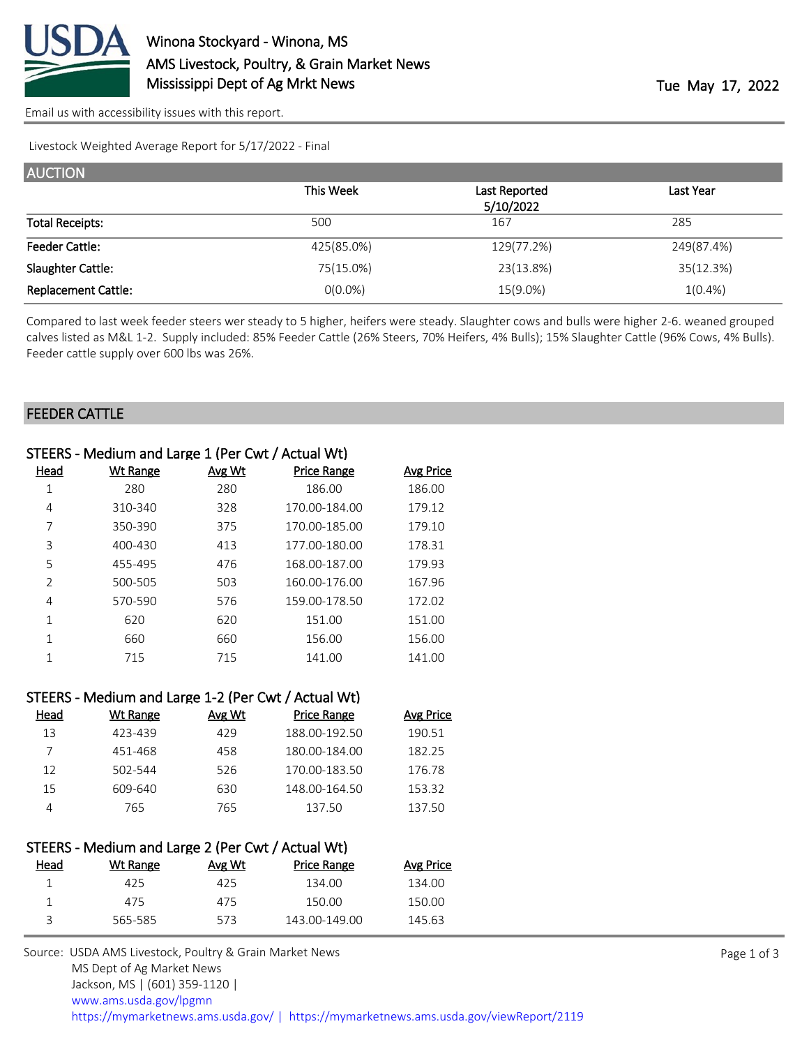

[Email us with accessibility issues with this report.](mailto:mars@ams.usda.gov?subject=508%20issue)

Livestock Weighted Average Report for 5/17/2022 - Final

| <b>AUCTION</b>             |            |               |            |
|----------------------------|------------|---------------|------------|
|                            | This Week  | Last Reported | Last Year  |
|                            |            | 5/10/2022     |            |
| <b>Total Receipts:</b>     | 500        | 167           | 285        |
| <b>Feeder Cattle:</b>      | 425(85.0%) | 129(77.2%)    | 249(87.4%) |
| Slaughter Cattle:          | 75(15.0%)  | 23(13.8%)     | 35(12.3%)  |
| <b>Replacement Cattle:</b> | $0(0.0\%)$ | 15(9.0%)      | $1(0.4\%)$ |

Compared to last week feeder steers wer steady to 5 higher, heifers were steady. Slaughter cows and bulls were higher 2-6. weaned grouped calves listed as M&L 1-2. Supply included: 85% Feeder Cattle (26% Steers, 70% Heifers, 4% Bulls); 15% Slaughter Cattle (96% Cows, 4% Bulls). Feeder cattle supply over 600 lbs was 26%.

#### FEEDER CATTLE

|             | STEERS - Medium and Large 1 (Per Cwt / Actual Wt) |               |                    |                  |
|-------------|---------------------------------------------------|---------------|--------------------|------------------|
| <u>Head</u> | <b>Wt Range</b>                                   | <b>Avg Wt</b> | <b>Price Range</b> | <b>Avg Price</b> |
| 1           | 280                                               | 280           | 186.00             | 186.00           |
| 4           | 310-340                                           | 328           | 170.00-184.00      | 179.12           |
| 7           | 350-390                                           | 375           | 170.00-185.00      | 179.10           |
| 3           | 400-430                                           | 413           | 177.00-180.00      | 178.31           |
| 5           | 455-495                                           | 476           | 168.00-187.00      | 179.93           |
| 2           | 500-505                                           | 503           | 160.00-176.00      | 167.96           |
| 4           | 570-590                                           | 576           | 159.00-178.50      | 172.02           |
| 1           | 620                                               | 620           | 151.00             | 151.00           |
|             | 660                                               | 660           | 156.00             | 156.00           |
|             | 715                                               | 715           | 141.00             | 141.00           |
|             |                                                   |               |                    |                  |

|      | STEERS - Medium and Large 1-2 (Per Cwt / Actual Wt) |        |                    |                  |
|------|-----------------------------------------------------|--------|--------------------|------------------|
| Head | <b>Wt Range</b>                                     | Avg Wt | <b>Price Range</b> | <b>Avg Price</b> |
| 13   | 423-439                                             | 429    | 188.00-192.50      | 190.51           |
| 7    | 451-468                                             | 458    | 180.00-184.00      | 182.25           |
| 12   | 502-544                                             | 526    | 170.00-183.50      | 176.78           |
| 15   | 609-640                                             | 630    | 148.00-164.50      | 153.32           |
| 4    | 765                                                 | 765    | 137.50             | 137.50           |
|      |                                                     |        |                    |                  |

# STEERS - Medium and Large 2 (Per Cwt / Actual Wt)<br>Head Music Marge Avg Wt Range

| Head | Wt Range | Avg Wt | Price Range   | Avg Price |
|------|----------|--------|---------------|-----------|
|      | 425      | 425    | 134.00        | 134.00    |
|      | 475      | 475    | 150.OO        | 150.00    |
|      | 565-585  | 573    | 143.00-149.00 | 145.63    |

Source: USDA AMS Livestock, Poultry & Grain Market News MS Dept of Ag Market News Jackson, MS | (601) 359-1120 | [www.ams.usda.gov/lpgmn](https://www.ams.usda.gov/market-news) <https://mymarketnews.ams.usda.gov/> [|](https://www.ams.usda.gov/market-news) <https://mymarketnews.ams.usda.gov/viewReport/2119>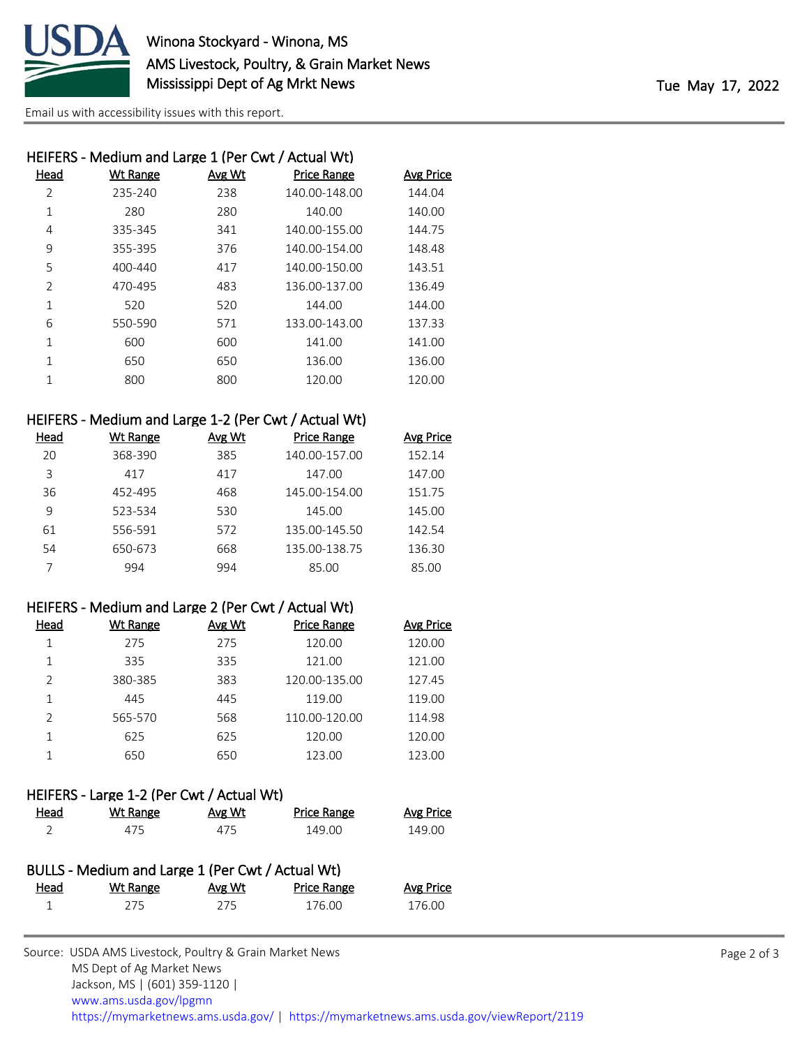

[Email us with accessibility issues with this report.](mailto:mars@ams.usda.gov?subject=508%20issue)

|                | HEIFERS - Medium and Large 1 (Per Cwt / Actual Wt) |        |                    |                  |
|----------------|----------------------------------------------------|--------|--------------------|------------------|
| Head           | Wt Range                                           | Avg Wt | <b>Price Range</b> | <b>Avg Price</b> |
| $\overline{2}$ | 235-240                                            | 238    | 140.00-148.00      | 144.04           |
| 1              | 280                                                | 280    | 140.00             | 140.00           |
| 4              | 335-345                                            | 341    | 140.00-155.00      | 144.75           |
| 9              | 355-395                                            | 376    | 140.00-154.00      | 148.48           |
| 5              | 400-440                                            | 417    | 140.00-150.00      | 143.51           |
| $\overline{2}$ | 470-495                                            | 483    | 136.00-137.00      | 136.49           |
| 1              | 520                                                | 520    | 144.00             | 144.00           |
| 6              | 550-590                                            | 571    | 133.00-143.00      | 137.33           |
| $\mathbf{1}$   | 600                                                | 600    | 141.00             | 141.00           |
| 1              | 650                                                | 650    | 136.00             | 136.00           |
| 1              | 800                                                | 800    | 120.00             | 120.00           |
|                |                                                    |        |                    |                  |

## HEIFERS - Medium and Large 1-2 (Per Cwt / Actual Wt)

| Head | Wt Range | Avg Wt | <b>Price Range</b> | <b>Avg Price</b> |
|------|----------|--------|--------------------|------------------|
| 20   | 368-390  | 385    | 140.00-157.00      | 152.14           |
| 3    | 417      | 417    | 147.00             | 147.00           |
| 36   | 452-495  | 468    | 145.00-154.00      | 151.75           |
| 9    | 523-534  | 530    | 145.00             | 145.00           |
| 61   | 556-591  | 572    | 135.00-145.50      | 142.54           |
| 54   | 650-673  | 668    | 135.00-138.75      | 136.30           |
|      | 994      | 994    | 85.00              | 85.00            |

### HEIFERS - Medium and Large 2 (Per Cwt / Actual Wt)

| Head          | Wt Range | Avg Wt | <b>Price Range</b> | <b>Avg Price</b> |
|---------------|----------|--------|--------------------|------------------|
|               | 275      | 275    | 120.00             | 120.00           |
|               | 335      | 335    | 121.00             | 121.00           |
| $\mathcal{P}$ | 380-385  | 383    | 120.00-135.00      | 127.45           |
|               | 445      | 445    | 119.00             | 119.00           |
| $\mathcal{P}$ | 565-570  | 568    | 110.00-120.00      | 114.98           |
|               | 625      | 625    | 120.00             | 120.00           |
|               | 650      | 650    | 123.00             | 123.00           |

#### HEIFERS - Large 1-2 (Per Cwt / Actual Wt)

| <b>Head</b> | Wt Range | Avg Wt | <b>Price Range</b> | <b>Avg Price</b> |
|-------------|----------|--------|--------------------|------------------|
|             | 475      | 475    | 149.00             | 149.00           |

|             | BULLS - Medium and Large 1 (Per Cwt / Actual Wt) |        |                    |           |
|-------------|--------------------------------------------------|--------|--------------------|-----------|
| <u>Head</u> | Wt Range                                         | Avg Wt | <b>Price Range</b> | Avg Price |
|             | 275                                              | 275    | 176.00             | 176.00    |